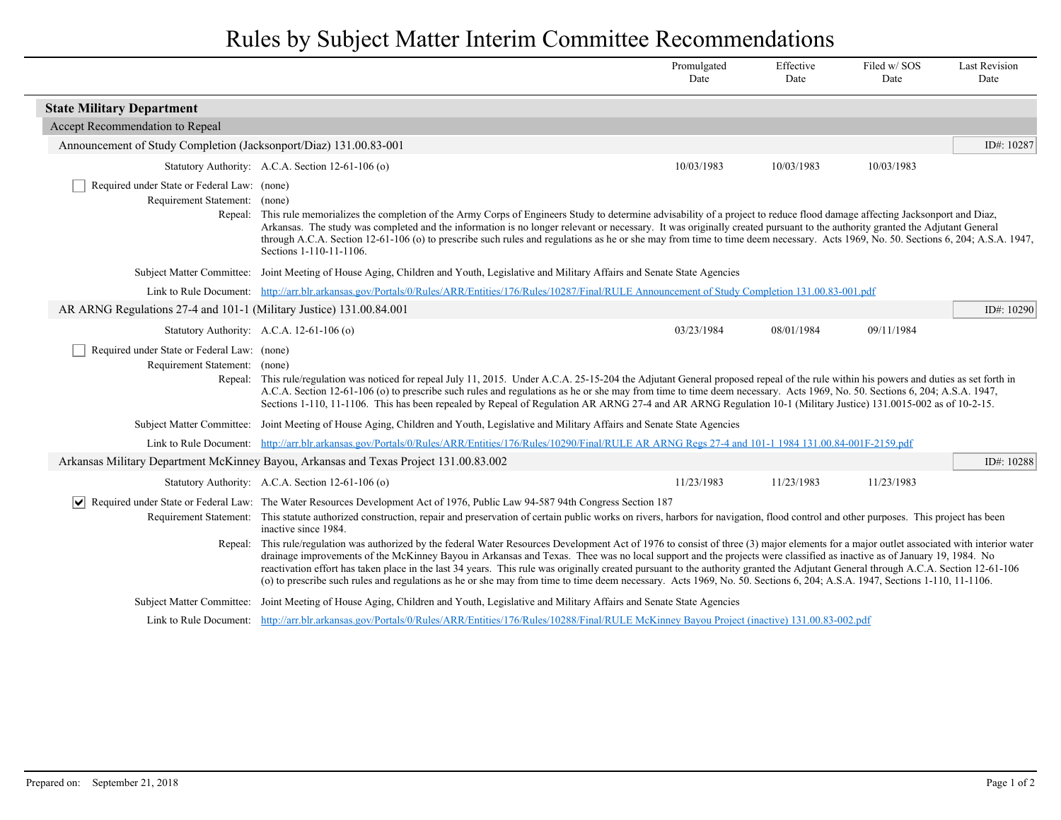## Rules by Subject Matter Interim Committee Recommendations

|                                                                              |                                                                                                                                                                                                                                                                                                                                                                                                                                                                                                                                                                                                                                                                                                                               | Promulgated<br>Date | Effective<br>Date | Filed w/SOS<br>Date | <b>Last Revision</b><br>Date |  |  |
|------------------------------------------------------------------------------|-------------------------------------------------------------------------------------------------------------------------------------------------------------------------------------------------------------------------------------------------------------------------------------------------------------------------------------------------------------------------------------------------------------------------------------------------------------------------------------------------------------------------------------------------------------------------------------------------------------------------------------------------------------------------------------------------------------------------------|---------------------|-------------------|---------------------|------------------------------|--|--|
| <b>State Military Department</b>                                             |                                                                                                                                                                                                                                                                                                                                                                                                                                                                                                                                                                                                                                                                                                                               |                     |                   |                     |                              |  |  |
| Accept Recommendation to Repeal                                              |                                                                                                                                                                                                                                                                                                                                                                                                                                                                                                                                                                                                                                                                                                                               |                     |                   |                     |                              |  |  |
| Announcement of Study Completion (Jacksonport/Diaz) 131.00.83-001            |                                                                                                                                                                                                                                                                                                                                                                                                                                                                                                                                                                                                                                                                                                                               |                     |                   |                     | ID#: 10287                   |  |  |
|                                                                              | Statutory Authority: A.C.A. Section 12-61-106 (o)                                                                                                                                                                                                                                                                                                                                                                                                                                                                                                                                                                                                                                                                             | 10/03/1983          | 10/03/1983        | 10/03/1983          |                              |  |  |
| Required under State or Federal Law: (none)<br>Requirement Statement: (none) |                                                                                                                                                                                                                                                                                                                                                                                                                                                                                                                                                                                                                                                                                                                               |                     |                   |                     |                              |  |  |
|                                                                              | Repeal: This rule memorializes the completion of the Army Corps of Engineers Study to determine advisability of a project to reduce flood damage affecting Jacksonport and Diaz,<br>Arkansas. The study was completed and the information is no longer relevant or necessary. It was originally created pursuant to the authority granted the Adjutant General<br>through A.C.A. Section 12-61-106 (o) to prescribe such rules and regulations as he or she may from time to time deem necessary. Acts 1969, No. 50. Sections 6, 204; A.S.A. 1947,<br>Sections 1-110-11-1106.                                                                                                                                                 |                     |                   |                     |                              |  |  |
|                                                                              | Subject Matter Committee: Joint Meeting of House Aging, Children and Youth, Legislative and Military Affairs and Senate State Agencies                                                                                                                                                                                                                                                                                                                                                                                                                                                                                                                                                                                        |                     |                   |                     |                              |  |  |
|                                                                              | Link to Rule Document: http://arr.blr.arkansas.gov/Portals/0/Rules/ARR/Entities/176/Rules/10287/Final/RULE Announcement of Study Completion 131.00.83-001.pdf                                                                                                                                                                                                                                                                                                                                                                                                                                                                                                                                                                 |                     |                   |                     |                              |  |  |
| AR ARNG Regulations 27-4 and 101-1 (Military Justice) 131.00.84.001          |                                                                                                                                                                                                                                                                                                                                                                                                                                                                                                                                                                                                                                                                                                                               |                     |                   |                     | ID#: 10290                   |  |  |
|                                                                              | Statutory Authority: A.C.A. 12-61-106 (o)                                                                                                                                                                                                                                                                                                                                                                                                                                                                                                                                                                                                                                                                                     | 03/23/1984          | 08/01/1984        | 09/11/1984          |                              |  |  |
| Required under State or Federal Law: (none)<br>Requirement Statement: (none) |                                                                                                                                                                                                                                                                                                                                                                                                                                                                                                                                                                                                                                                                                                                               |                     |                   |                     |                              |  |  |
|                                                                              | Repeal: This rule/regulation was noticed for repeal July 11, 2015. Under A.C.A. 25-15-204 the Adjutant General proposed repeal of the rule within his powers and duties as set forth in<br>A.C.A. Section 12-61-106 (o) to prescribe such rules and regulations as he or she may from time to time deem necessary. Acts 1969, No. 50. Sections 6, 204; A.S.A. 1947,<br>Sections 1-110, 11-1106. This has been repealed by Repeal of Regulation AR ARNG 27-4 and AR ARNG Regulation 10-1 (Military Justice) 131.0015-002 as of 10-2-15.                                                                                                                                                                                        |                     |                   |                     |                              |  |  |
|                                                                              | Subject Matter Committee: Joint Meeting of House Aging, Children and Youth, Legislative and Military Affairs and Senate State Agencies                                                                                                                                                                                                                                                                                                                                                                                                                                                                                                                                                                                        |                     |                   |                     |                              |  |  |
|                                                                              | Link to Rule Document: http://arr.blr.arkansas.gov/Portals/0/Rules/ARR/Entities/176/Rules/10290/Final/RULE AR ARNG Regs 27-4 and 101-1 1984 131.00.84-001F-2159.pdf                                                                                                                                                                                                                                                                                                                                                                                                                                                                                                                                                           |                     |                   |                     |                              |  |  |
|                                                                              | Arkansas Military Department McKinney Bayou, Arkansas and Texas Project 131.00.83.002                                                                                                                                                                                                                                                                                                                                                                                                                                                                                                                                                                                                                                         |                     |                   |                     | ID#: 10288                   |  |  |
|                                                                              | Statutory Authority: A.C.A. Section 12-61-106 (o)                                                                                                                                                                                                                                                                                                                                                                                                                                                                                                                                                                                                                                                                             | 11/23/1983          | 11/23/1983        | 11/23/1983          |                              |  |  |
|                                                                              | Required under State or Federal Law: The Water Resources Development Act of 1976, Public Law 94-587 94th Congress Section 187<br>Requirement Statement: This statute authorized construction, repair and preservation of certain public works on rivers, harbors for navigation, flood control and other purposes. This project has been<br>inactive since 1984.                                                                                                                                                                                                                                                                                                                                                              |                     |                   |                     |                              |  |  |
| Repeal:                                                                      | This rule/regulation was authorized by the federal Water Resources Development Act of 1976 to consist of three (3) major elements for a major outlet associated with interior water<br>drainage improvements of the McKinney Bayou in Arkansas and Texas. Thee was no local support and the projects were classified as inactive as of January 19, 1984. No<br>reactivation effort has taken place in the last 34 years. This rule was originally created pursuant to the authority granted the Adjutant General through A.C.A. Section 12-61-106<br>(o) to prescribe such rules and regulations as he or she may from time to time deem necessary. Acts 1969, No. 50. Sections 6, 204; A.S.A. 1947, Sections 1-110, 11-1106. |                     |                   |                     |                              |  |  |
|                                                                              | Subject Matter Committee: Joint Meeting of House Aging, Children and Youth, Legislative and Military Affairs and Senate State Agencies                                                                                                                                                                                                                                                                                                                                                                                                                                                                                                                                                                                        |                     |                   |                     |                              |  |  |
|                                                                              | Link to Rule Document: http://arr.blr.arkansas.gov/Portals/0/Rules/ARR/Entities/176/Rules/10288/Final/RULE McKinney Bayou Project (inactive) 131.00.83-002.pdf                                                                                                                                                                                                                                                                                                                                                                                                                                                                                                                                                                |                     |                   |                     |                              |  |  |